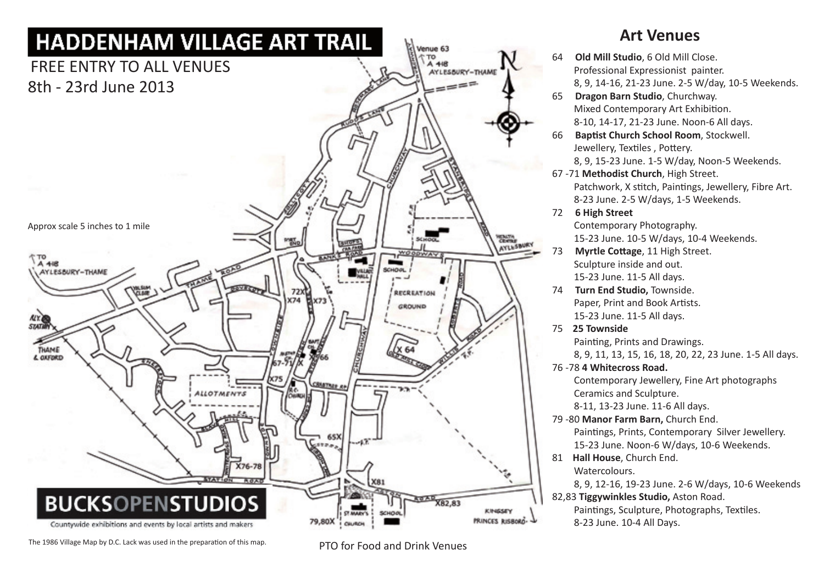

## The 1986 Village Map by D.C. Lack was used in the preparation of this map. PTO for Food and Drink Venues

## **Art Venues**

| 64 | Old Mill Studio, 6 Old Mill Close.                                      |
|----|-------------------------------------------------------------------------|
|    | Professional Expressionist painter.                                     |
|    | 8, 9, 14-16, 21-23 June. 2-5 W/day, 10-5 Weekends.                      |
| 65 | Dragon Barn Studio, Churchway.                                          |
|    | Mixed Contemporary Art Exhibition.                                      |
|    | 8-10, 14-17, 21-23 June. Noon-6 All days.                               |
| 66 | Baptist Church School Room, Stockwell.                                  |
|    | Jewellery, Textiles, Pottery.                                           |
|    | 8, 9, 15-23 June. 1-5 W/day, Noon-5 Weekends.                           |
|    | 67 -71 Methodist Church, High Street.                                   |
|    | Patchwork, X stitch, Paintings, Jewellery, Fibre Art.                   |
|    | 8-23 June. 2-5 W/days, 1-5 Weekends.                                    |
| 72 | <b>6 High Street</b>                                                    |
|    | Contemporary Photography.                                               |
|    | 15-23 June. 10-5 W/days, 10-4 Weekends.                                 |
| 73 | Myrtle Cottage, 11 High Street.                                         |
|    | Sculpture inside and out.                                               |
|    | 15-23 June. 11-5 All days.                                              |
| 74 | Turn End Studio, Townside.                                              |
|    | Paper, Print and Book Artists.                                          |
|    | 15-23 June. 11-5 All days.                                              |
| 75 | 25 Townside                                                             |
|    | Painting, Prints and Drawings.                                          |
|    | 8, 9, 11, 13, 15, 16, 18, 20, 22, 23 June. 1-5 All days.                |
|    | 76-78 4 Whitecross Road.                                                |
|    | Contemporary Jewellery, Fine Art photographs<br>Ceramics and Sculpture. |
|    | 8-11, 13-23 June. 11-6 All days.                                        |
|    | 79 -80 Manor Farm Barn, Church End.                                     |
|    | Paintings, Prints, Contemporary Silver Jewellery.                       |
|    | 15-23 June. Noon-6 W/days, 10-6 Weekends.                               |
| 81 | Hall House, Church End.                                                 |
|    | Watercolours.                                                           |
|    | 8, 9, 12-16, 19-23 June. 2-6 W/days, 10-6 Weekends                      |
|    | 82,83 Tiggywinkles Studio, Aston Road.                                  |
|    | Paintings, Sculpture, Photographs, Textiles.                            |
|    |                                                                         |

8-23 June. 10-4 All Days.